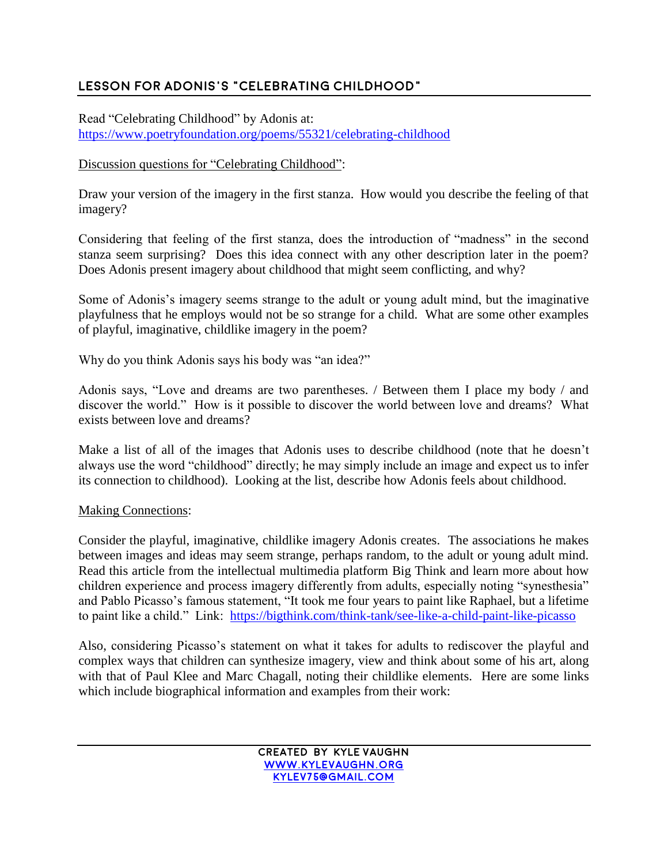## **Lesson for Adonis's "Celebrating childhood"**

Read "Celebrating Childhood" by Adonis at: <https://www.poetryfoundation.org/poems/55321/celebrating-childhood>

## Discussion questions for "Celebrating Childhood":

Draw your version of the imagery in the first stanza. How would you describe the feeling of that imagery?

Considering that feeling of the first stanza, does the introduction of "madness" in the second stanza seem surprising? Does this idea connect with any other description later in the poem? Does Adonis present imagery about childhood that might seem conflicting, and why?

Some of Adonis's imagery seems strange to the adult or young adult mind, but the imaginative playfulness that he employs would not be so strange for a child. What are some other examples of playful, imaginative, childlike imagery in the poem?

Why do you think Adonis says his body was "an idea?"

Adonis says, "Love and dreams are two parentheses. / Between them I place my body / and discover the world." How is it possible to discover the world between love and dreams? What exists between love and dreams?

Make a list of all of the images that Adonis uses to describe childhood (note that he doesn't always use the word "childhood" directly; he may simply include an image and expect us to infer its connection to childhood). Looking at the list, describe how Adonis feels about childhood.

## Making Connections:

Consider the playful, imaginative, childlike imagery Adonis creates. The associations he makes between images and ideas may seem strange, perhaps random, to the adult or young adult mind. Read this article from the intellectual multimedia platform Big Think and learn more about how children experience and process imagery differently from adults, especially noting "synesthesia" and Pablo Picasso's famous statement, "It took me four years to paint like Raphael, but a lifetime to paint like a child." Link: <https://bigthink.com/think-tank/see-like-a-child-paint-like-picasso>

Also, considering Picasso's statement on what it takes for adults to rediscover the playful and complex ways that children can synthesize imagery, view and think about some of his art, along with that of Paul Klee and Marc Chagall, noting their childlike elements. Here are some links which include biographical information and examples from their work: